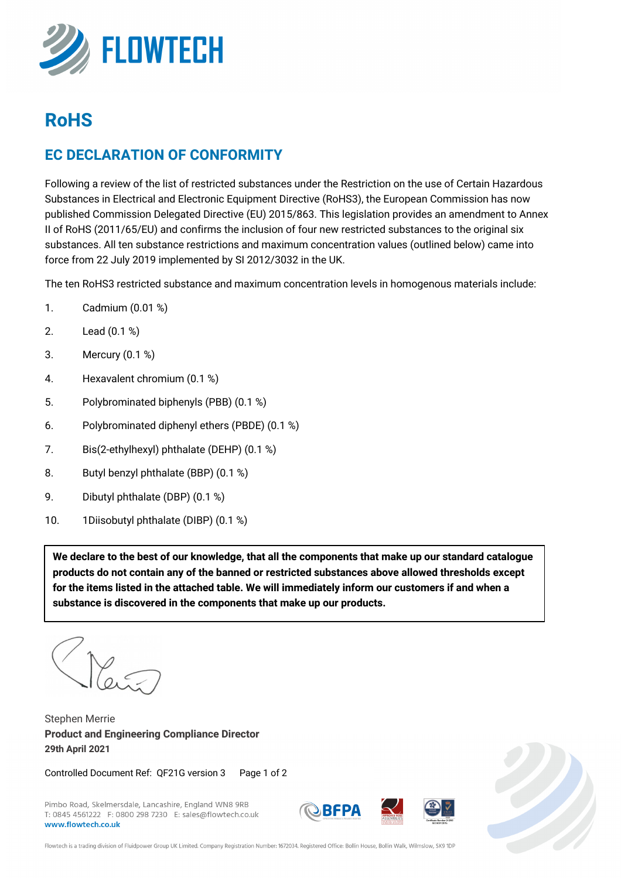

# **RoHS**

#### **EC DECLARATION OF CONFORMITY**

Following a review of the list of restricted substances under the Restriction on the use of Certain Hazardous Substances in Electrical and Electronic Equipment Directive (RoHS3), the European Commission has now published Commission Delegated Directive (EU) 2015/863. This legislation provides an amendment to Annex II of RoHS (2011/65/EU) and confirms the inclusion of four new restricted substances to the original six substances. All ten substance restrictions and maximum concentration values (outlined below) came into force from 22 July 2019 implemented by SI 2012/3032 in the UK.

The ten RoHS3 restricted substance and maximum concentration levels in homogenous materials include:

- 1. Cadmium (0.01 %)
- 2. Lead (0.1 %)
- 3. Mercury (0.1 %)
- 4. Hexavalent chromium (0.1 %)
- 5. Polybrominated biphenyls (PBB) (0.1 %)
- 6. Polybrominated diphenyl ethers (PBDE) (0.1 %)
- 7. Bis(2-ethylhexyl) phthalate (DEHP) (0.1 %)
- 8. Butyl benzyl phthalate (BBP) (0.1 %)
- 9. Dibutyl phthalate (DBP) (0.1 %)
- 10. 1Diisobutyl phthalate (DIBP) (0.1 %)

**We declare to the best of our knowledge, that all the components that make up our standard catalogue products do not contain any of the banned or restricted substances above allowed thresholds except for the items listed in the attached table. We will immediately inform our customers if and when a substance is discovered in the components that make up our products.**

.

Stephen Merrie **Product and Engineering Compliance Director 29th April 2021**

Controlled Document Ref: QF21G version 3 Page 1 of 2

Pimbo Road, Skelmersdale, Lancashire, England WN8 9RB T: 0845 4561222 F: 0800 298 7230 E: sales@flowtech.co.uk www.flowtech.co.uk







Flowtech is a trading division of Fluidpower Group UK Limited. Company Registration Number: 1672034. Registered Office: Bollin House, Bollin Walk, Wilmslow, SK9 1DP